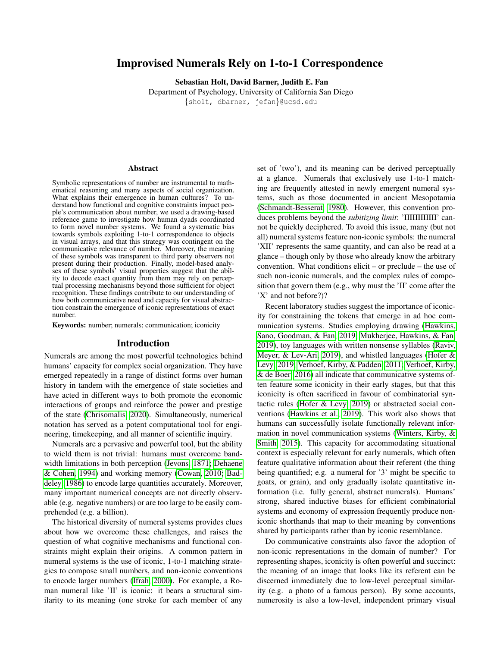# Improvised Numerals Rely on 1-to-1 Correspondence

Sebastian Holt, David Barner, Judith E. Fan

Department of Psychology, University of California San Diego {sholt, dbarner, jefan}@ucsd.edu

#### Abstract

Symbolic representations of number are instrumental to mathematical reasoning and many aspects of social organization. What explains their emergence in human cultures? To understand how functional and cognitive constraints impact people's communication about number, we used a drawing-based reference game to investigate how human dyads coordinated to form novel number systems. We found a systematic bias towards symbols exploiting 1-to-1 correspondence to objects in visual arrays, and that this strategy was contingent on the communicative relevance of number. Moreover, the meaning of these symbols was transparent to third party observers not present during their production. Finally, model-based analyses of these symbols' visual properties suggest that the ability to decode exact quantity from them may rely on perceptual processing mechanisms beyond those sufficient for object recognition. These findings contribute to our understanding of how both communicative need and capacity for visual abstraction constrain the emergence of iconic representations of exact number.

Keywords: number; numerals; communication; iconicity

#### Introduction

Numerals are among the most powerful technologies behind humans' capacity for complex social organization. They have emerged repeatedly in a range of distinct forms over human history in tandem with the emergence of state societies and have acted in different ways to both promote the economic interactions of groups and reinforce the power and prestige of the state [\(Chrisomalis, 2020\)](#page-5-0). Simultaneously, numerical notation has served as a potent computational tool for engineering, timekeeping, and all manner of scientific inquiry.

Numerals are a pervasive and powerful tool, but the ability to wield them is not trivial: humans must overcome bandwidth limitations in both perception [\(Jevons, 1871;](#page-5-1) [Dehaene](#page-5-2) [& Cohen, 1994\)](#page-5-2) and working memory [\(Cowan, 2010;](#page-5-3) [Bad](#page-5-4)[deley, 1986\)](#page-5-4) to encode large quantities accurately. Moreover, many important numerical concepts are not directly observable (e.g. negative numbers) or are too large to be easily comprehended (e.g. a billion).

The historical diversity of numeral systems provides clues about how we overcome these challenges, and raises the question of what cognitive mechanisms and functional constraints might explain their origins. A common pattern in numeral systems is the use of iconic, 1-to-1 matching strategies to compose small numbers, and non-iconic conventions to encode larger numbers [\(Ifrah, 2000\)](#page-5-5). For example, a Roman numeral like 'II' is iconic: it bears a structural similarity to its meaning (one stroke for each member of any set of 'two'), and its meaning can be derived perceptually at a glance. Numerals that exclusively use 1-to-1 matching are frequently attested in newly emergent numeral systems, such as those documented in ancient Mesopotamia [\(Schmandt-Besserat, 1980\)](#page-5-6). However, this convention produces problems beyond the *subitizing limit*: 'IIIIIIIIIIII' cannot be quickly deciphered. To avoid this issue, many (but not all) numeral systems feature non-iconic symbols: the numeral 'XII' represents the same quantity, and can also be read at a glance – though only by those who already know the arbitrary convention. What conditions elicit – or preclude – the use of such non-iconic numerals, and the complex rules of composition that govern them (e.g., why must the 'II' come after the 'X' and not before?)?

Recent laboratory studies suggest the importance of iconicity for constraining the tokens that emerge in ad hoc communication systems. Studies employing drawing [\(Hawkins,](#page-5-7) [Sano, Goodman, & Fan, 2019;](#page-5-7) [Mukherjee, Hawkins, & Fan,](#page-5-8) [2019\)](#page-5-8), toy languages with written nonsense syllables [\(Raviv,](#page-5-9) [Meyer, & Lev-Ari, 2019\)](#page-5-9), and whistled languages [\(Hofer &](#page-5-10) [Levy, 2019;](#page-5-10) [Verhoef, Kirby, & Padden, 2011;](#page-5-11) [Verhoef, Kirby,](#page-5-12) [& de Boer, 2016\)](#page-5-12) all indicate that communicative systems often feature some iconicity in their early stages, but that this iconicity is often sacrificed in favour of combinatorial syntactic rules [\(Hofer & Levy, 2019\)](#page-5-10) or abstracted social conventions [\(Hawkins et al., 2019\)](#page-5-7). This work also shows that humans can successfully isolate functionally relevant information in novel communication systems [\(Winters, Kirby, &](#page-5-13) [Smith, 2015\)](#page-5-13). This capacity for accommodating situational context is especially relevant for early numerals, which often feature qualitative information about their referent (the thing being quantified; e.g. a numeral for '3' might be specific to goats, or grain), and only gradually isolate quantitative information (i.e. fully general, abstract numerals). Humans' strong, shared inductive biases for efficient combinatorial systems and economy of expression frequently produce noniconic shorthands that map to their meaning by conventions shared by participants rather than by iconic resemblance.

Do communicative constraints also favor the adoption of non-iconic representations in the domain of number? For representing shapes, iconicity is often powerful and succinct: the meaning of an image that looks like its referent can be discerned immediately due to low-level perceptual similarity (e.g. a photo of a famous person). By some accounts, numerosity is also a low-level, independent primary visual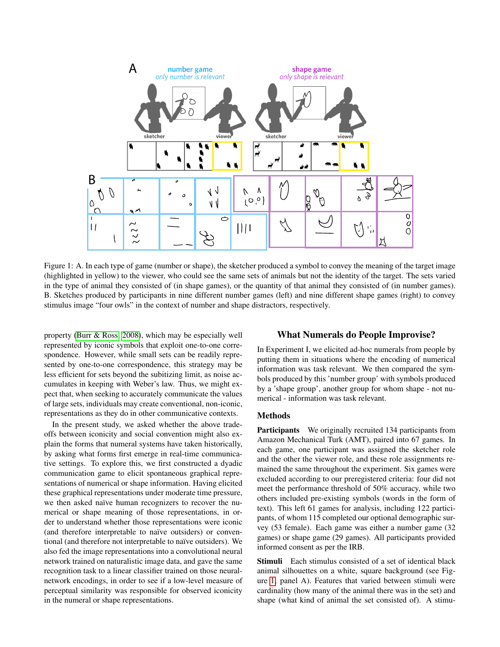

Figure 1: A. In each type of game (number or shape), the sketcher produced a symbol to convey the meaning of the target image (highlighted in yellow) to the viewer, who could see the same sets of animals but not the identity of the target. The sets varied in the type of animal they consisted of (in shape games), or the quantity of that animal they consisted of (in number games). B. Sketches produced by participants in nine different number games (left) and nine different shape games (right) to convey stimulus image "four owls" in the context of number and shape distractors, respectively.

property [\(Burr & Ross, 2008\)](#page-5-14), which may be especially well represented by iconic symbols that exploit one-to-one correspondence. However, while small sets can be readily represented by one-to-one correspondence, this strategy may be less efficient for sets beyond the subitizing limit, as noise accumulates in keeping with Weber's law. Thus, we might expect that, when seeking to accurately communicate the values of large sets, individuals may create conventional, non-iconic, representations as they do in other communicative contexts.

In the present study, we asked whether the above tradeoffs between iconicity and social convention might also explain the forms that numeral systems have taken historically, by asking what forms first emerge in real-time communicative settings. To explore this, we first constructed a dyadic communication game to elicit spontaneous graphical representations of numerical or shape information. Having elicited these graphical representations under moderate time pressure, we then asked naïve human recognizers to recover the numerical or shape meaning of those representations, in order to understand whether those representations were iconic (and therefore interpretable to naïve outsiders) or conventional (and therefore not interpretable to naïve outsiders). We also fed the image representations into a convolutional neural network trained on naturalistic image data, and gave the same recognition task to a linear classifier trained on those neuralnetwork encodings, in order to see if a low-level measure of perceptual similarity was responsible for observed iconicity in the numeral or shape representations.

# <span id="page-1-0"></span>What Numerals do People Improvise?

In Experiment I, we elicited ad-hoc numerals from people by putting them in situations where the encoding of numerical information was task relevant. We then compared the symbols produced by this 'number group' with symbols produced by a 'shape group', another group for whom shape - not numerical - information was task relevant.

### Methods

Participants We originally recruited 134 participants from Amazon Mechanical Turk (AMT), paired into 67 games. In each game, one participant was assigned the sketcher role and the other the viewer role, and these role assignments remained the same throughout the experiment. Six games were excluded according to our preregistered criteria: four did not meet the performance threshold of 50% accuracy, while two others included pre-existing symbols (words in the form of text). This left 61 games for analysis, including 122 participants, of whom 115 completed our optional demographic survey (53 female). Each game was either a number game (32 games) or shape game (29 games). All participants provided informed consent as per the IRB.

Stimuli Each stimulus consisted of a set of identical black animal silhouettes on a white, square background (see Figure [1,](#page-1-0) panel A). Features that varied between stimuli were cardinality (how many of the animal there was in the set) and shape (what kind of animal the set consisted of). A stimu-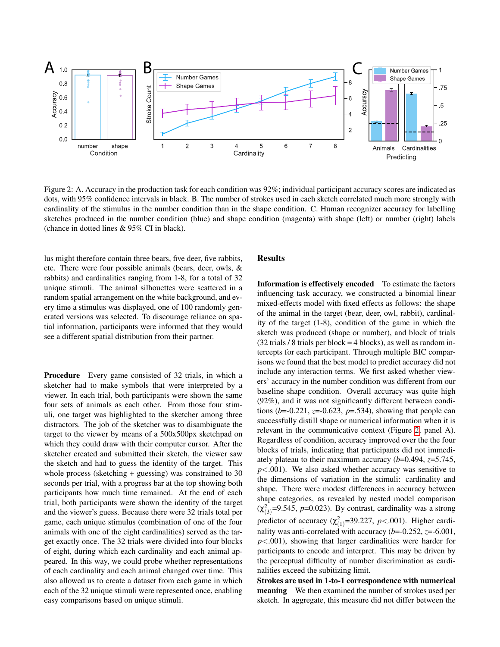

Figure 2: A. Accuracy in the production task for each condition was 92%; individual participant accuracy scores are indicated as dots, with 95% confidence intervals in black. B. The number of strokes used in each sketch correlated much more strongly with cardinality of the stimulus in the number condition than in the shape condition. C. Human recognizer accuracy for labelling sketches produced in the number condition (blue) and shape condition (magenta) with shape (left) or number (right) labels (chance in dotted lines & 95% CI in black).

lus might therefore contain three bears, five deer, five rabbits, etc. There were four possible animals (bears, deer, owls, & rabbits) and cardinalities ranging from 1-8, for a total of 32 unique stimuli. The animal silhouettes were scattered in a random spatial arrangement on the white background, and every time a stimulus was displayed, one of 100 randomly generated versions was selected. To discourage reliance on spatial information, participants were informed that they would see a different spatial distribution from their partner.

Procedure Every game consisted of 32 trials, in which a sketcher had to make symbols that were interpreted by a viewer. In each trial, both participants were shown the same four sets of animals as each other. From those four stimuli, one target was highlighted to the sketcher among three distractors. The job of the sketcher was to disambiguate the target to the viewer by means of a 500x500px sketchpad on which they could draw with their computer cursor. After the sketcher created and submitted their sketch, the viewer saw the sketch and had to guess the identity of the target. This whole process (sketching + guessing) was constrained to 30 seconds per trial, with a progress bar at the top showing both participants how much time remained. At the end of each trial, both participants were shown the identity of the target and the viewer's guess. Because there were 32 trials total per game, each unique stimulus (combination of one of the four animals with one of the eight cardinalities) served as the target exactly once. The 32 trials were divided into four blocks of eight, during which each cardinality and each animal appeared. In this way, we could probe whether representations of each cardinality and each animal changed over time. This also allowed us to create a dataset from each game in which each of the 32 unique stimuli were represented once, enabling easy comparisons based on unique stimuli.

## <span id="page-2-0"></span>Results

Information is effectively encoded To estimate the factors influencing task accuracy, we constructed a binomial linear mixed-effects model with fixed effects as follows: the shape of the animal in the target (bear, deer, owl, rabbit), cardinality of the target (1-8), condition of the game in which the sketch was produced (shape or number), and block of trials  $(32 \text{ trials } 8 \text{ trials per block} = 4 \text{ blocks})$ , as well as random intercepts for each participant. Through multiple BIC comparisons we found that the best model to predict accuracy did not include any interaction terms. We first asked whether viewers' accuracy in the number condition was different from our baseline shape condition. Overall accuracy was quite high (92%), and it was not significantly different between conditions ( $b=-0.221$ ,  $z=-0.623$ ,  $p=.534$ ), showing that people can successfully distill shape or numerical information when it is relevant in the communicative context (Figure [2,](#page-2-0) panel A). Regardless of condition, accuracy improved over the the four blocks of trials, indicating that participants did not immediately plateau to their maximum accuracy (*b*=0.494, *z*=5.745, *p*<.001). We also asked whether accuracy was sensitive to the dimensions of variation in the stimuli: cardinality and shape. There were modest differences in accuracy between shape categories, as revealed by nested model comparison  $(\chi^2_{(3)}=9.545, p=0.023)$ . By contrast, cardinality was a strong predictor of accuracy  $(\chi^2_{(1)}=39.227, p<.001)$ . Higher cardinality was anti-correlated with accuracy (*b*=-0.252, *z*=-6.001, *p*<.001), showing that larger cardinalities were harder for participants to encode and interpret. This may be driven by the perceptual difficulty of number discrimination as cardinalities exceed the subitizing limit.

Strokes are used in 1-to-1 correspondence with numerical meaning We then examined the number of strokes used per sketch. In aggregate, this measure did not differ between the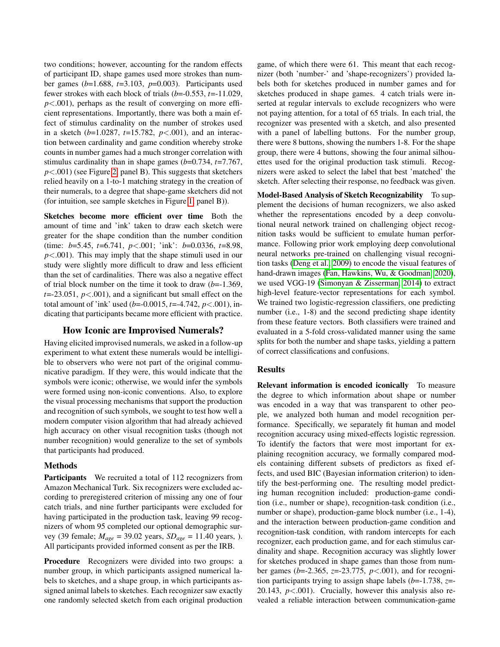two conditions; however, accounting for the random effects of participant ID, shape games used more strokes than number games (*b*=1.688, *t*=3.103, *p*=0.003). Participants used fewer strokes with each block of trials (*b*=-0.553, *t*=-11.029,  $p$ <.001), perhaps as the result of converging on more efficient representations. Importantly, there was both a main effect of stimulus cardinality on the number of strokes used in a sketch (*b*=1.0287, *t*=15.782, *p*<.001), and an interaction between cardinality and game condition whereby stroke counts in number games had a much stronger correlation with stimulus cardinality than in shape games (*b*=0.734, *t*=7.767, *p*<.001) (see Figure [2,](#page-2-0) panel B). This suggests that sketchers relied heavily on a 1-to-1 matching strategy in the creation of their numerals, to a degree that shape-game sketchers did not (for intuition, see sample sketches in Figure [1,](#page-1-0) panel B)).

Sketches become more efficient over time Both the amount of time and 'ink' taken to draw each sketch were greater for the shape condition than the number condition (time: *b*=5.45, *t*=6.741, *p*<.001; 'ink': *b*=0.0336, *t*=8.98, *p*<.001). This may imply that the shape stimuli used in our study were slightly more difficult to draw and less efficient than the set of cardinalities. There was also a negative effect of trial block number on the time it took to draw (*b*=-1.369,  $t = -23.051$ ,  $p < .001$ ), and a significant but small effect on the total amount of 'ink' used (*b*=-0.0015, *t*=-4.742, *p*<.001), indicating that participants became more efficient with practice.

### How Iconic are Improvised Numerals?

Having elicited improvised numerals, we asked in a follow-up experiment to what extent these numerals would be intelligible to observers who were not part of the original communicative paradigm. If they were, this would indicate that the symbols were iconic; otherwise, we would infer the symbols were formed using non-iconic conventions. Also, to explore the visual processing mechanisms that support the production and recognition of such symbols, we sought to test how well a modern computer vision algorithm that had already achieved high accuracy on other visual recognition tasks (though not number recognition) would generalize to the set of symbols that participants had produced.

### Methods

**Participants** We recruited a total of 112 recognizers from Amazon Mechanical Turk. Six recognizers were excluded according to preregistered criterion of missing any one of four catch trials, and nine further participants were excluded for having participated in the production task, leaving 99 recognizers of whom 95 completed our optional demographic survey (39 female; *Mage* = 39.02 years, *SDage* = 11.40 years, ). All participants provided informed consent as per the IRB.

Procedure Recognizers were divided into two groups: a number group, in which participants assigned numerical labels to sketches, and a shape group, in which participants assigned animal labels to sketches. Each recognizer saw exactly one randomly selected sketch from each original production game, of which there were 61. This meant that each recognizer (both 'number-' and 'shape-recognizers') provided labels both for sketches produced in number games and for sketches produced in shape games. 4 catch trials were inserted at regular intervals to exclude recognizers who were not paying attention, for a total of 65 trials. In each trial, the recognizer was presented with a sketch, and also presented with a panel of labelling buttons. For the number group, there were 8 buttons, showing the numbers 1-8. For the shape group, there were 4 buttons, showing the four animal silhouettes used for the original production task stimuli. Recognizers were asked to select the label that best 'matched' the sketch. After selecting their response, no feedback was given.

Model-Based Analysis of Sketch Recognizability To supplement the decisions of human recognizers, we also asked whether the representations encoded by a deep convolutional neural network trained on challenging object recognition tasks would be sufficient to emulate human performance. Following prior work employing deep convolutional neural networks pre-trained on challenging visual recognition tasks [\(Deng et al., 2009\)](#page-5-15) to encode the visual features of hand-drawn images [\(Fan, Hawkins, Wu, & Goodman, 2020\)](#page-5-16), we used VGG-19 [\(Simonyan & Zisserman, 2014\)](#page-5-17) to extract high-level feature-vector representations for each symbol. We trained two logistic-regression classifiers, one predicting number (i.e., 1-8) and the second predicting shape identity from these feature vectors. Both classifiers were trained and evaluated in a 5-fold cross-validated manner using the same splits for both the number and shape tasks, yielding a pattern of correct classifications and confusions.

## Results

Relevant information is encoded iconically To measure the degree to which information about shape or number was encoded in a way that was transparent to other people, we analyzed both human and model recognition performance. Specifically, we separately fit human and model recognition accuracy using mixed-effects logistic regression. To identify the factors that were most important for explaining recognition accuracy, we formally compared models containing different subsets of predictors as fixed effects, and used BIC (Bayesian information criterion) to identify the best-performing one. The resulting model predicting human recognition included: production-game condition (i.e., number or shape), recognition-task condition (i.e., number or shape), production-game block number (i.e., 1-4), and the interaction between production-game condition and recognition-task condition, with random intercepts for each recognizer, each production game, and for each stimulus cardinality and shape. Recognition accuracy was slightly lower for sketches produced in shape games than those from number games (*b*=-2.365, *z*=-23.775, *p*<.001), and for recognition participants trying to assign shape labels (*b*=-1.738, *z*=- 20.143, *p*<.001). Crucially, however this analysis also revealed a reliable interaction between communication-game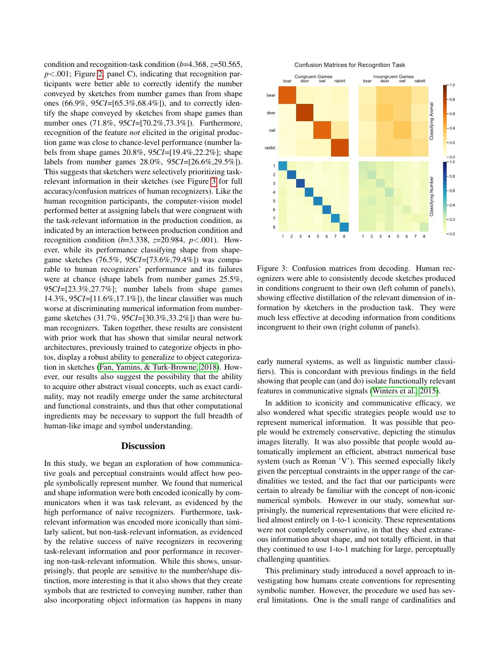condition and recognition-task condition (*b*=4.368, *z*=50.565, *p*<.001; Figure [2,](#page-2-0) panel C), indicating that recognition participants were better able to correctly identify the number conveyed by sketches from number games than from shape ones (66.9%, 95*CI*=[65.3%,68.4%]), and to correctly identify the shape conveyed by sketches from shape games than number ones (71.8%, 95*CI*=[70.2%,73.3%]). Furthermore, recognition of the feature *not* elicited in the original production game was close to chance-level performance (number labels from shape games 20.8%, 95*CI*=[19.4%,22.2%]; shape labels from number games 28.0%, 95*CI*=[26.6%,29.5%]). This suggests that sketchers were selectively prioritizing taskrelevant information in their sketches (see Figure [3](#page-4-0) for full accuracy/confusion matrices of human recognizers). Like the human recognition participants, the computer-vision model performed better at assigning labels that were congruent with the task-relevant information in the production condition, as indicated by an interaction between production condition and recognition condition (*b*=3.338, *z*=20.984, *p*<.001). However, while its performance classifying shape from shapegame sketches (76.5%, 95*CI*=[73.6%,79.4%]) was comparable to human recognizers' performance and its failures were at chance (shape labels from number games 25.5%, 95*CI*=[23.3%,27.7%]; number labels from shape games 14.3%, 95*CI*=[11.6%,17.1%]), the linear classifier was much worse at discriminating numerical information from numbergame sketches (31.7%, 95*CI*=[30.3%,33.2%]) than were human recognizers. Taken together, these results are consistent with prior work that has shown that similar neural network architectures, previously trained to categorize objects in photos, display a robust ability to generalize to object categorization in sketches [\(Fan, Yamins, & Turk-Browne, 2018\)](#page-5-18). However, our results also suggest the possibility that the ability to acquire other abstract visual concepts, such as exact cardinality, may not readily emerge under the same architectural and functional constraints, and thus that other computational ingredients may be necessary to support the full breadth of human-like image and symbol understanding.

#### **Discussion**

In this study, we began an exploration of how communicative goals and perceptual constraints would affect how people symbolically represent number. We found that numerical and shape information were both encoded iconically by communicators when it was task relevant, as evidenced by the high performance of naïve recognizers. Furthermore, taskrelevant information was encoded more iconically than similarly salient, but non-task-relevant information, as evidenced by the relative success of naïve recognizers in recovering task-relevant information and poor performance in recovering non-task-relevant information. While this shows, unsurprisingly, that people are sensitive to the number/shape distinction, more interesting is that it also shows that they create symbols that are restricted to conveying number, rather than also incorporating object information (as happens in many





<span id="page-4-0"></span>Figure 3: Confusion matrices from decoding. Human recognizers were able to consistently decode sketches produced in conditions congruent to their own (left column of panels), showing effective distillation of the relevant dimension of information by sketchers in the production task. They were much less effective at decoding information from conditions incongruent to their own (right column of panels).

early numeral systems, as well as linguistic number classifiers). This is concordant with previous findings in the field showing that people can (and do) isolate functionally relevant features in communicative signals [\(Winters et al., 2015\)](#page-5-13).

In addition to iconicity and communicative efficacy, we also wondered what specific strategies people would use to represent numerical information. It was possible that people would be extremely conservative, depicting the stimulus images literally. It was also possible that people would automatically implement an efficient, abstract numerical base system (such as Roman 'V'). This seemed especially likely given the perceptual constraints in the upper range of the cardinalities we tested, and the fact that our participants were certain to already be familiar with the concept of non-iconic numerical symbols. However in our study, somewhat surprisingly, the numerical representations that were elicited relied almost entirely on 1-to-1 iconicity. These representations were not completely conservative, in that they shed extraneous information about shape, and not totally efficient, in that they continued to use 1-to-1 matching for large, perceptually challenging quantities.

This preliminary study introduced a novel approach to investigating how humans create conventions for representing symbolic number. However, the procedure we used has several limitations. One is the small range of cardinalities and